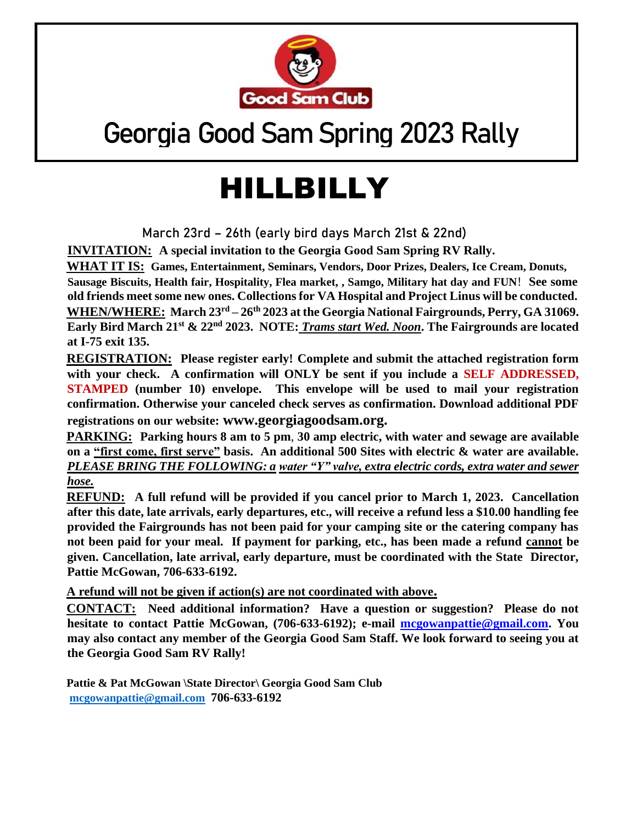

## Georgia Good Sam Spring 2023 Rally

## HILLBILLY

**March 23rd – 26th (early bird days March 21st & 22nd)**

**INVITATION: A special invitation to the Georgia Good Sam Spring RV Rally.** 

**WHAT IT IS: Games, Entertainment, Seminars, Vendors, Door Prizes, Dealers, Ice Cream, Donuts, Sausage Biscuits, Health fair, Hospitality, Flea market, , Samgo, Military hat day and FUN**! **See some old friends meet some new ones. Collections for VA Hospital and Project Linus will be conducted. WHEN/WHERE: March 23rd – 26th 2023 at the Georgia National Fairgrounds, Perry, GA 31069. Early Bird March 21st & 22nd 2023. NOTE:** *Trams start Wed. Noon***. The Fairgrounds are located at I-75 exit 135.** 

**REGISTRATION: Please register early! Complete and submit the attached registration form with your check. A confirmation will ONLY be sent if you include a SELF ADDRESSED, STAMPED (number 10) envelope. This envelope will be used to mail your registration confirmation. Otherwise your canceled check serves as confirmation. Download additional PDF registrations on our website: www.georgiagoodsam.org.**

**PARKING: Parking hours 8 am to 5 pm**, **30 amp electric, with water and sewage are available on a "first come, first serve" basis. An additional 500 Sites with electric & water are available.**  *PLEASE BRING THE FOLLOWING: a water "Y" valve, extra electric cords, extra water and sewer hose.*

**REFUND: A full refund will be provided if you cancel prior to March 1, 2023. Cancellation after this date, late arrivals, early departures, etc., will receive a refund less a \$10.00 handling fee provided the Fairgrounds has not been paid for your camping site or the catering company has not been paid for your meal. If payment for parking, etc., has been made a refund cannot be given. Cancellation, late arrival, early departure, must be coordinated with the State Director, Pattie McGowan, 706-633-6192.**

**A refund will not be given if action(s) are not coordinated with above.**

**CONTACT: Need additional information? Have a question or suggestion? Please do not hesitate to contact Pattie McGowan, (706-633-6192); e-mail mcgowanpattie@gmail.com. You may also contact any member of the Georgia Good Sam Staff. We look forward to seeing you at the Georgia Good Sam RV Rally!** 

**Pattie & Pat McGowan \State Director\ Georgia Good Sam Club [mcgowanpattie@gmail.com](mailto:mcgowanpattie@gmail.com) 706-633-6192**